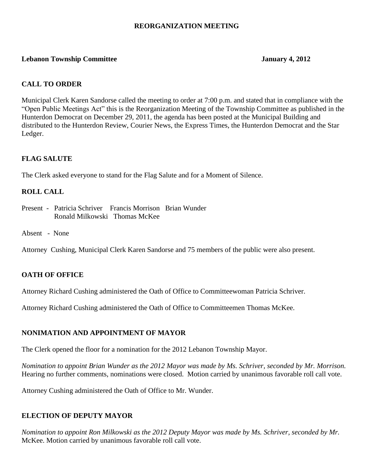## **REORGANIZATION MEETING**

## **Lebanon Township Committee January 4, 2012**

## **CALL TO ORDER**

Municipal Clerk Karen Sandorse called the meeting to order at 7:00 p.m. and stated that in compliance with the "Open Public Meetings Act" this is the Reorganization Meeting of the Township Committee as published in the Hunterdon Democrat on December 29, 2011, the agenda has been posted at the Municipal Building and distributed to the Hunterdon Review, Courier News, the Express Times, the Hunterdon Democrat and the Star Ledger.

## **FLAG SALUTE**

The Clerk asked everyone to stand for the Flag Salute and for a Moment of Silence.

## **ROLL CALL**

- Present Patricia Schriver Francis Morrison Brian Wunder Ronald Milkowski Thomas McKee
- Absent None

Attorney Cushing, Municipal Clerk Karen Sandorse and 75 members of the public were also present.

## **OATH OF OFFICE**

Attorney Richard Cushing administered the Oath of Office to Committeewoman Patricia Schriver.

Attorney Richard Cushing administered the Oath of Office to Committeemen Thomas McKee.

## **NONIMATION AND APPOINTMENT OF MAYOR**

The Clerk opened the floor for a nomination for the 2012 Lebanon Township Mayor.

*Nomination to appoint Brian Wunder as the 2012 Mayor was made by Ms. Schriver, seconded by Mr. Morrison.* Hearing no further comments, nominations were closed. Motion carried by unanimous favorable roll call vote.

Attorney Cushing administered the Oath of Office to Mr. Wunder.

## **ELECTION OF DEPUTY MAYOR**

*Nomination to appoint Ron Milkowski as the 2012 Deputy Mayor was made by Ms. Schriver, seconded by Mr.* McKee. Motion carried by unanimous favorable roll call vote.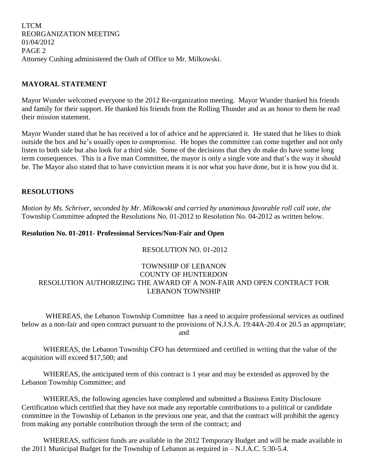LTCM REORGANIZATION MEETING 01/04/2012 PAGE 2 Attorney Cushing administered the Oath of Office to Mr. Milkowski.

## **MAYORAL STATEMENT**

Mayor Wunder welcomed everyone to the 2012 Re-organization meeting. Mayor Wunder thanked his friends and family for their support. He thanked his friends from the Rolling Thunder and as an honor to them he read their mission statement.

Mayor Wunder stated that he has received a lot of advice and he appreciated it. He stated that he likes to think outside the box and he's usually open to compromise. He hopes the committee can come together and not only listen to both side but also look for a third side. Some of the decisions that they do make do have some long term consequences. This is a five man Committee, the mayor is only a single vote and that's the way it should be. The Mayor also stated that to have conviction means it is not what you have done, but it is how you did it.

## **RESOLUTIONS**

*Motion by Ms. Schriver, seconded by Mr. Milkowski and carried by unanimous favorable roll call vote, the* Township Committee adopted the Resolutions No. 01-2012 to Resolution No. 04-2012 as written below.

## **Resolution No. 01-2011- Professional Services/Non-Fair and Open**

## RESOLUTION NO. 01-2012

## TOWNSHIP OF LEBANON COUNTY OF HUNTERDON RESOLUTION AUTHORIZING THE AWARD OF A NON-FAIR AND OPEN CONTRACT FOR LEBANON TOWNSHIP

WHEREAS, the Lebanon Township Committee has a need to acquire professional services as outlined below as a non-fair and open contract pursuant to the provisions of N.J.S.A. 19:44A-20.4 or 20.5 as appropriate; and

WHEREAS, the Lebanon Township CFO has determined and certified in writing that the value of the acquisition will exceed \$17,500; and

WHEREAS, the anticipated term of this contract is 1 year and may be extended as approved by the Lebanon Township Committee; and

WHEREAS, the following agencies have completed and submitted a Business Entity Disclosure Certification which certified that they have not made any reportable contributions to a political or candidate committee in the Township of Lebanon in the previous one year, and that the contract will prohibit the agency from making any portable contribution through the term of the contract; and

WHEREAS, sufficient funds are available in the 2012 Temporary Budget and will be made available in the 2011 Municipal Budget for the Township of Lebanon as required in – N.J.A.C. 5:30-5.4.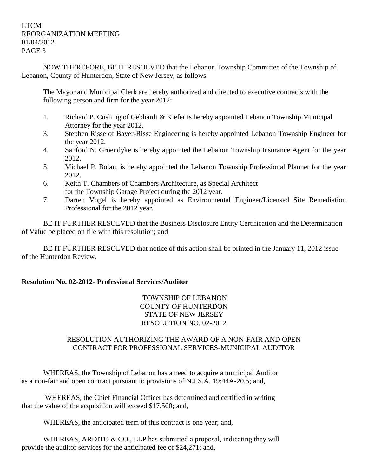NOW THEREFORE, BE IT RESOLVED that the Lebanon Township Committee of the Township of Lebanon, County of Hunterdon, State of New Jersey, as follows:

The Mayor and Municipal Clerk are hereby authorized and directed to executive contracts with the following person and firm for the year 2012:

- 1. Richard P. Cushing of Gebhardt & Kiefer is hereby appointed Lebanon Township Municipal Attorney for the year 2012.
- 3. Stephen Risse of Bayer-Risse Engineering is hereby appointed Lebanon Township Engineer for the year 2012.
- 4. Sanford N. Groendyke is hereby appointed the Lebanon Township Insurance Agent for the year 2012.
- 5, Michael P. Bolan, is hereby appointed the Lebanon Township Professional Planner for the year 2012.
- 6. Keith T. Chambers of Chambers Architecture, as Special Architect for the Township Garage Project during the 2012 year.
- 7. Darren Vogel is hereby appointed as Environmental Engineer/Licensed Site Remediation Professional for the 2012 year.

BE IT FURTHER RESOLVED that the Business Disclosure Entity Certification and the Determination of Value be placed on file with this resolution; and

BE IT FURTHER RESOLVED that notice of this action shall be printed in the January 11, 2012 issue of the Hunterdon Review.

## **Resolution No. 02-2012- Professional Services/Auditor**

TOWNSHIP OF LEBANON COUNTY OF HUNTERDON STATE OF NEW JERSEY RESOLUTION NO. 02-2012

## RESOLUTION AUTHORIZING THE AWARD OF A NON-FAIR AND OPEN CONTRACT FOR PROFESSIONAL SERVICES-MUNICIPAL AUDITOR

WHEREAS, the Township of Lebanon has a need to acquire a municipal Auditor as a non-fair and open contract pursuant to provisions of N.J.S.A. 19:44A-20.5; and,

WHEREAS, the Chief Financial Officer has determined and certified in writing that the value of the acquisition will exceed \$17,500; and,

WHEREAS, the anticipated term of this contract is one year; and,

WHEREAS, ARDITO & CO., LLP has submitted a proposal, indicating they will provide the auditor services for the anticipated fee of \$24,271; and,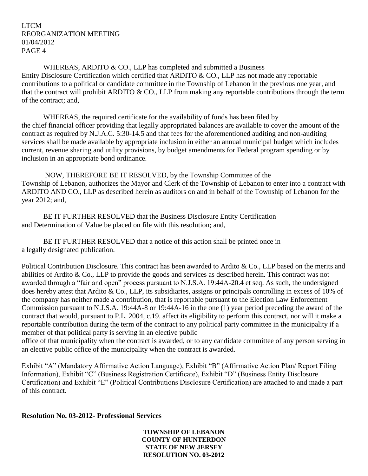WHEREAS, ARDITO & CO., LLP has completed and submitted a Business Entity Disclosure Certification which certified that ARDITO & CO., LLP has not made any reportable contributions to a political or candidate committee in the Township of Lebanon in the previous one year, and that the contract will prohibit ARDITO  $& CO$ . LLP from making any reportable contributions through the term of the contract; and,

WHEREAS, the required certificate for the availability of funds has been filed by the chief financial officer providing that legally appropriated balances are available to cover the amount of the contract as required by N.J.A.C. 5:30-14.5 and that fees for the aforementioned auditing and non-auditing services shall be made available by appropriate inclusion in either an annual municipal budget which includes current, revenue sharing and utility provisions, by budget amendments for Federal program spending or by inclusion in an appropriate bond ordinance.

NOW, THEREFORE BE IT RESOLVED, by the Township Committee of the Township of Lebanon, authorizes the Mayor and Clerk of the Township of Lebanon to enter into a contract with ARDITO AND CO., LLP as described herein as auditors on and in behalf of the Township of Lebanon for the year 2012; and,

BE IT FURTHER RESOLVED that the Business Disclosure Entity Certification and Determination of Value be placed on file with this resolution; and,

BE IT FURTHER RESOLVED that a notice of this action shall be printed once in a legally designated publication.

Political Contribution Disclosure. This contract has been awarded to Ardito & Co., LLP based on the merits and abilities of Ardito & Co., LLP to provide the goods and services as described herein. This contract was not awarded through a "fair and open" process pursuant to N.J.S.A. 19:44A-20.4 et seq. As such, the undersigned does hereby attest that Ardito & Co., LLP, its subsidiaries, assigns or principals controlling in excess of 10% of the company has neither made a contribution, that is reportable pursuant to the Election Law Enforcement Commission pursuant to N.J.S.A. 19:44A-8 or 19:44A-16 in the one (1) year period preceding the award of the contract that would, pursuant to P.L. 2004, c.19. affect its eligibility to perform this contract, nor will it make a reportable contribution during the term of the contract to any political party committee in the municipality if a member of that political party is serving in an elective public

office of that municipality when the contract is awarded, or to any candidate committee of any person serving in an elective public office of the municipality when the contract is awarded.

Exhibit "A" (Mandatory Affirmative Action Language), Exhibit "B" (Affirmative Action Plan/ Report Filing Information), Exhibit "C" (Business Registration Certificate), Exhibit "D" (Business Entity Disclosure Certification) and Exhibit "E" (Political Contributions Disclosure Certification) are attached to and made a part of this contract.

## **Resolution No. 03-2012- Professional Services**

**TOWNSHIP OF LEBANON COUNTY OF HUNTERDON STATE OF NEW JERSEY RESOLUTION NO. 03-2012**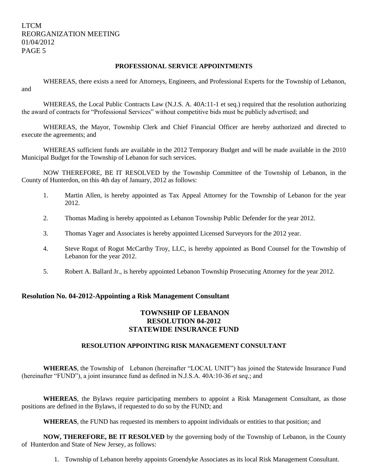#### **PROFESSIONAL SERVICE APPOINTMENTS**

WHEREAS, there exists a need for Attorneys, Engineers, and Professional Experts for the Township of Lebanon, and

WHEREAS, the Local Public Contracts Law (N.J.S. A. 40A:11-1 et seq.) required that the resolution authorizing the award of contracts for "Professional Services" without competitive bids must be publicly advertised; and

WHEREAS, the Mayor, Township Clerk and Chief Financial Officer are hereby authorized and directed to execute the agreements; and

WHEREAS sufficient funds are available in the 2012 Temporary Budget and will be made available in the 2010 Municipal Budget for the Township of Lebanon for such services.

NOW THEREFORE, BE IT RESOLVED by the Township Committee of the Township of Lebanon, in the County of Hunterdon, on this 4th day of January, 2012 as follows:

- 1. Martin Allen, is hereby appointed as Tax Appeal Attorney for the Township of Lebanon for the year 2012.
- 2. Thomas Mading is hereby appointed as Lebanon Township Public Defender for the year 2012.
- 3. Thomas Yager and Associates is hereby appointed Licensed Surveyors for the 2012 year.
- 4. Steve Rogut of Rogut McCarthy Troy, LLC, is hereby appointed as Bond Counsel for the Township of Lebanon for the year 2012.
- 5. Robert A. Ballard Jr., is hereby appointed Lebanon Township Prosecuting Attorney for the year 2012.

#### **Resolution No. 04-2012-Appointing a Risk Management Consultant**

## **TOWNSHIP OF LEBANON RESOLUTION 04-2012 STATEWIDE INSURANCE FUND**

#### **RESOLUTION APPOINTING RISK MANAGEMENT CONSULTANT**

**WHEREAS**, the Township of Lebanon (hereinafter "LOCAL UNIT") has joined the Statewide Insurance Fund (hereinafter "FUND"), a joint insurance fund as defined in N.J.S.A. 40A:10-36 *et seq*.; and

**WHEREAS**, the Bylaws require participating members to appoint a Risk Management Consultant, as those positions are defined in the Bylaws, if requested to do so by the FUND; and

**WHEREAS**, the FUND has requested its members to appoint individuals or entities to that position; and

**NOW, THEREFORE, BE IT RESOLVED** by the governing body of the Township of Lebanon, in the County of Hunterdon and State of New Jersey, as follows:

1. Township of Lebanon hereby appoints Groendyke Associates as its local Risk Management Consultant.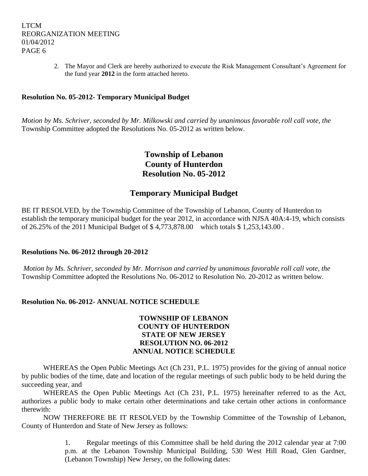2. The Mayor and Clerk are hereby authorized to execute the Risk Management Consultant's Agreement for the fund year **2012** in the form attached hereto.

## **Resolution No. 05-2012- Temporary Municipal Budget**

*Motion by Ms. Schriver, seconded by Mr. Milkowski and carried by unanimous favorable roll call vote, the* Township Committee adopted the Resolutions No. 05-2012 as written below.

## **Township of Lebanon County of Hunterdon Resolution No. 05-2012**

## **Temporary Municipal Budget**

BE IT RESOLVED, by the Township Committee of the Township of Lebanon, County of Hunterdon to establish the temporary municipal budget for the year 2012, in accordance with NJSA 40A:4-19, which consists of 26.25% of the 2011 Municipal Budget of \$ 4,773,878.00 which totals \$ 1,253,143.00 .

#### **Resolutions No. 06-2012 through 20-2012**

*Motion by Ms. Schriver, seconded by Mr. Morrison and carried by unanimous favorable roll call vote, the* Township Committee adopted the Resolutions No. 06-2012 to Resolution No. 20-2012 as written below.

#### **Resolution No. 06-2012- ANNUAL NOTICE SCHEDULE**

## **TOWNSHIP OF LEBANON COUNTY OF HUNTERDON STATE OF NEW JERSEY RESOLUTION NO. 06-2012 ANNUAL NOTICE SCHEDULE**

WHEREAS the Open Public Meetings Act (Ch 231, P.L. 1975) provides for the giving of annual notice by public bodies of the time, date and location of the regular meetings of such public body to be held during the succeeding year, and

WHEREAS the Open Public Meetings Act (Ch 231, P.L. 1975) hereinafter referred to as the Act, authorizes a public body to make certain other determinations and take certain other actions in conformance therewith:

NOW THEREFORE BE IT RESOLVED by the Township Committee of the Township of Lebanon, County of Hunterdon and State of New Jersey as follows:

> 1. Regular meetings of this Committee shall be held during the 2012 calendar year at 7:00 p.m. at the Lebanon Township Municipal Building, 530 West Hill Road, Glen Gardner, (Lebanon Township) New Jersey, on the following dates: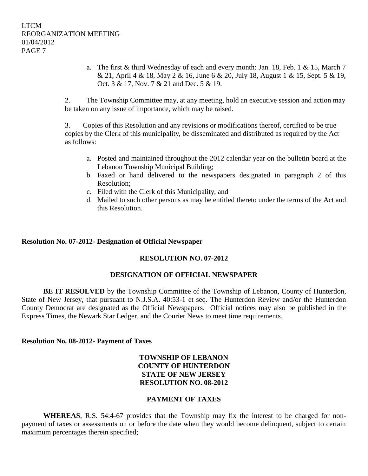a. The first & third Wednesday of each and every month: Jan. 18, Feb. 1 & 15, March 7 & 21, April 4 & 18, May 2 & 16, June 6 & 20, July 18, August 1 & 15, Sept. 5 & 19, Oct. 3 & 17, Nov. 7 & 21 and Dec. 5 & 19.

2. The Township Committee may, at any meeting, hold an executive session and action may be taken on any issue of importance, which may be raised.

3. Copies of this Resolution and any revisions or modifications thereof, certified to be true copies by the Clerk of this municipality, be disseminated and distributed as required by the Act as follows:

- a. Posted and maintained throughout the 2012 calendar year on the bulletin board at the Lebanon Township Municipal Building;
- b. Faxed or hand delivered to the newspapers designated in paragraph 2 of this Resolution;
- c. Filed with the Clerk of this Municipality, and
- d. Mailed to such other persons as may be entitled thereto under the terms of the Act and this Resolution.

## **Resolution No. 07-2012- Designation of Official Newspaper**

## **RESOLUTION NO. 07-2012**

## **DESIGNATION OF OFFICIAL NEWSPAPER**

**BE IT RESOLVED** by the Township Committee of the Township of Lebanon, County of Hunterdon, State of New Jersey, that pursuant to N.J.S.A. 40:53-1 et seq. The Hunterdon Review and/or the Hunterdon County Democrat are designated as the Official Newspapers. Official notices may also be published in the Express Times, the Newark Star Ledger, and the Courier News to meet time requirements.

#### **Resolution No. 08-2012- Payment of Taxes**

## **TOWNSHIP OF LEBANON COUNTY OF HUNTERDON STATE OF NEW JERSEY RESOLUTION NO. 08-2012**

#### **PAYMENT OF TAXES**

**WHEREAS**, R.S. 54:4-67 provides that the Township may fix the interest to be charged for nonpayment of taxes or assessments on or before the date when they would become delinquent, subject to certain maximum percentages therein specified;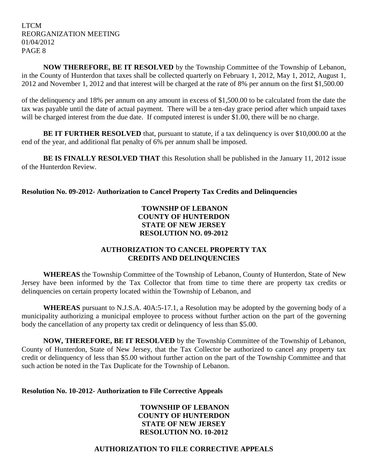**NOW THEREFORE, BE IT RESOLVED** by the Township Committee of the Township of Lebanon, in the County of Hunterdon that taxes shall be collected quarterly on February 1, 2012, May 1, 2012, August 1, 2012 and November 1, 2012 and that interest will be charged at the rate of 8% per annum on the first \$1,500.00

of the delinquency and 18% per annum on any amount in excess of \$1,500.00 to be calculated from the date the tax was payable until the date of actual payment. There will be a ten-day grace period after which unpaid taxes will be charged interest from the due date. If computed interest is under \$1.00, there will be no charge.

**BE IT FURTHER RESOLVED** that, pursuant to statute, if a tax delinquency is over \$10,000.00 at the end of the year, and additional flat penalty of 6% per annum shall be imposed.

**BE IS FINALLY RESOLVED THAT** this Resolution shall be published in the January 11, 2012 issue of the Hunterdon Review.

## **Resolution No. 09-2012- Authorization to Cancel Property Tax Credits and Delinquencies**

## **TOWNSHP OF LEBANON COUNTY OF HUNTERDON STATE OF NEW JERSEY RESOLUTION NO. 09-2012**

## **AUTHORIZATION TO CANCEL PROPERTY TAX CREDITS AND DELINQUENCIES**

**WHEREAS** the Township Committee of the Township of Lebanon, County of Hunterdon, State of New Jersey have been informed by the Tax Collector that from time to time there are property tax credits or delinquencies on certain property located within the Township of Lebanon, and

**WHEREAS** pursuant to N.J.S.A. 40A:5-17.1, a Resolution may be adopted by the governing body of a municipality authorizing a municipal employee to process without further action on the part of the governing body the cancellation of any property tax credit or delinquency of less than \$5.00.

**NOW, THEREFORE, BE IT RESOLVED** by the Township Committee of the Township of Lebanon, County of Hunterdon, State of New Jersey, that the Tax Collector be authorized to cancel any property tax credit or delinquency of less than \$5.00 without further action on the part of the Township Committee and that such action be noted in the Tax Duplicate for the Township of Lebanon.

## **Resolution No. 10-2012- Authorization to File Corrective Appeals**

**TOWNSHIP OF LEBANON COUNTY OF HUNTERDON STATE OF NEW JERSEY RESOLUTION NO. 10-2012**

## **AUTHORIZATION TO FILE CORRECTIVE APPEALS**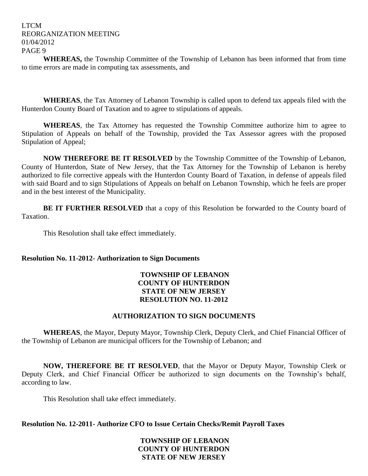**WHEREAS,** the Township Committee of the Township of Lebanon has been informed that from time to time errors are made in computing tax assessments, and

**WHEREAS**, the Tax Attorney of Lebanon Township is called upon to defend tax appeals filed with the Hunterdon County Board of Taxation and to agree to stipulations of appeals.

**WHEREAS**, the Tax Attorney has requested the Township Committee authorize him to agree to Stipulation of Appeals on behalf of the Township, provided the Tax Assessor agrees with the proposed Stipulation of Appeal;

**NOW THEREFORE BE IT RESOLVED** by the Township Committee of the Township of Lebanon, County of Hunterdon, State of New Jersey, that the Tax Attorney for the Township of Lebanon is hereby authorized to file corrective appeals with the Hunterdon County Board of Taxation, in defense of appeals filed with said Board and to sign Stipulations of Appeals on behalf on Lebanon Township, which he feels are proper and in the best interest of the Municipality.

**BE IT FURTHER RESOLVED** that a copy of this Resolution be forwarded to the County board of Taxation.

This Resolution shall take effect immediately.

## **Resolution No. 11-2012- Authorization to Sign Documents**

## **TOWNSHIP OF LEBANON COUNTY OF HUNTERDON STATE OF NEW JERSEY RESOLUTION NO. 11-2012**

## **AUTHORIZATION TO SIGN DOCUMENTS**

**WHEREAS**, the Mayor, Deputy Mayor, Township Clerk, Deputy Clerk, and Chief Financial Officer of the Township of Lebanon are municipal officers for the Township of Lebanon; and

**NOW, THEREFORE BE IT RESOLVED**, that the Mayor or Deputy Mayor, Township Clerk or Deputy Clerk, and Chief Financial Officer be authorized to sign documents on the Township's behalf, according to law.

This Resolution shall take effect immediately.

**Resolution No. 12-2011- Authorize CFO to Issue Certain Checks/Remit Payroll Taxes**

## **TOWNSHIP OF LEBANON COUNTY OF HUNTERDON STATE OF NEW JERSEY**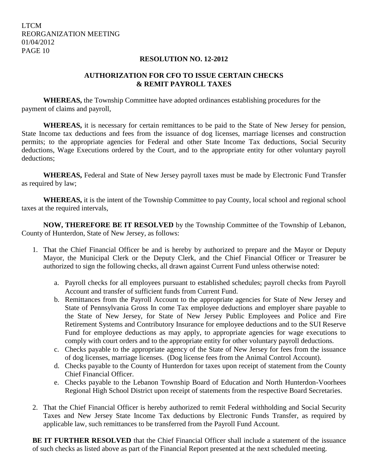## **RESOLUTION NO. 12-2012**

## **AUTHORIZATION FOR CFO TO ISSUE CERTAIN CHECKS & REMIT PAYROLL TAXES**

**WHEREAS,** the Township Committee have adopted ordinances establishing procedures for the payment of claims and payroll,

**WHEREAS,** it is necessary for certain remittances to be paid to the State of New Jersey for pension, State Income tax deductions and fees from the issuance of dog licenses, marriage licenses and construction permits; to the appropriate agencies for Federal and other State Income Tax deductions, Social Security deductions, Wage Executions ordered by the Court, and to the appropriate entity for other voluntary payroll deductions;

**WHEREAS,** Federal and State of New Jersey payroll taxes must be made by Electronic Fund Transfer as required by law;

**WHEREAS,** it is the intent of the Township Committee to pay County, local school and regional school taxes at the required intervals,

**NOW, THEREFORE BE IT RESOLVED** by the Township Committee of the Township of Lebanon, County of Hunterdon, State of New Jersey, as follows:

- 1. That the Chief Financial Officer be and is hereby by authorized to prepare and the Mayor or Deputy Mayor, the Municipal Clerk or the Deputy Clerk, and the Chief Financial Officer or Treasurer be authorized to sign the following checks, all drawn against Current Fund unless otherwise noted:
	- a. Payroll checks for all employees pursuant to established schedules; payroll checks from Payroll Account and transfer of sufficient funds from Current Fund.
	- b. Remittances from the Payroll Account to the appropriate agencies for State of New Jersey and State of Pennsylvania Gross In come Tax employee deductions and employer share payable to the State of New Jersey, for State of New Jersey Public Employees and Police and Fire Retirement Systems and Contributory Insurance for employee deductions and to the SUI Reserve Fund for employee deductions as may apply, to appropriate agencies for wage executions to comply with court orders and to the appropriate entity for other voluntary payroll deductions.
	- c. Checks payable to the appropriate agency of the State of New Jersey for fees from the issuance of dog licenses, marriage licenses. (Dog license fees from the Animal Control Account).
	- d. Checks payable to the County of Hunterdon for taxes upon receipt of statement from the County Chief Financial Officer.
	- e. Checks payable to the Lebanon Township Board of Education and North Hunterdon-Voorhees Regional High School District upon receipt of statements from the respective Board Secretaries.
- 2. That the Chief Financial Officer is hereby authorized to remit Federal withholding and Social Security Taxes and New Jersey State Income Tax deductions by Electronic Funds Transfer, as required by applicable law, such remittances to be transferred from the Payroll Fund Account.

**BE IT FURTHER RESOLVED** that the Chief Financial Officer shall include a statement of the issuance of such checks as listed above as part of the Financial Report presented at the next scheduled meeting.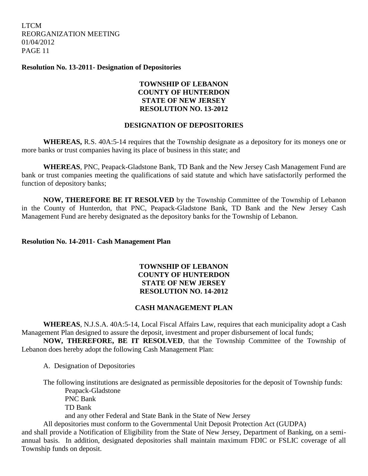**Resolution No. 13-2011- Designation of Depositories**

## **TOWNSHIP OF LEBANON COUNTY OF HUNTERDON STATE OF NEW JERSEY RESOLUTION NO. 13-2012**

## **DESIGNATION OF DEPOSITORIES**

**WHEREAS,** R.S. 40A:5-14 requires that the Township designate as a depository for its moneys one or more banks or trust companies having its place of business in this state; and

**WHEREAS**, PNC, Peapack-Gladstone Bank, TD Bank and the New Jersey Cash Management Fund are bank or trust companies meeting the qualifications of said statute and which have satisfactorily performed the function of depository banks;

**NOW, THEREFORE BE IT RESOLVED** by the Township Committee of the Township of Lebanon in the County of Hunterdon, that PNC, Peapack-Gladstone Bank, TD Bank and the New Jersey Cash Management Fund are hereby designated as the depository banks for the Township of Lebanon.

## **Resolution No. 14-2011- Cash Management Plan**

## **TOWNSHIP OF LEBANON COUNTY OF HUNTERDON STATE OF NEW JERSEY RESOLUTION NO. 14-2012**

## **CASH MANAGEMENT PLAN**

**WHEREAS**, N.J.S.A. 40A:5-14, Local Fiscal Affairs Law, requires that each municipality adopt a Cash Management Plan designed to assure the deposit, investment and proper disbursement of local funds;

**NOW, THEREFORE, BE IT RESOLVED**, that the Township Committee of the Township of Lebanon does hereby adopt the following Cash Management Plan:

A. Designation of Depositories

The following institutions are designated as permissible depositories for the deposit of Township funds: Peapack-Gladstone PNC Bank

TD Bank

and any other Federal and State Bank in the State of New Jersey

All depositories must conform to the Governmental Unit Deposit Protection Act (GUDPA)

and shall provide a Notification of Eligibility from the State of New Jersey, Department of Banking, on a semiannual basis. In addition, designated depositories shall maintain maximum FDIC or FSLIC coverage of all Township funds on deposit.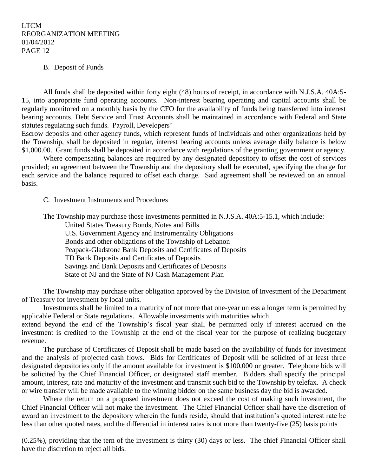#### B. Deposit of Funds

All funds shall be deposited within forty eight (48) hours of receipt, in accordance with N.J.S.A. 40A:5- 15, into appropriate fund operating accounts. Non-interest bearing operating and capital accounts shall be regularly monitored on a monthly basis by the CFO for the availability of funds being transferred into interest bearing accounts. Debt Service and Trust Accounts shall be maintained in accordance with Federal and State statutes regulating such funds. Payroll, Developers'

Escrow deposits and other agency funds, which represent funds of individuals and other organizations held by the Township, shall be deposited in regular, interest bearing accounts unless average daily balance is below \$1,000.00. Grant funds shall be deposited in accordance with regulations of the granting government or agency.

Where compensating balances are required by any designated depository to offset the cost of services provided; an agreement between the Township and the depository shall be executed, specifying the charge for each service and the balance required to offset each charge. Said agreement shall be reviewed on an annual basis.

#### C. Investment Instruments and Procedures

The Township may purchase those investments permitted in N.J.S.A. 40A:5-15.1, which include:

United States Treasury Bonds, Notes and Bills U.S. Government Agency and Instrumentality Obligations Bonds and other obligations of the Township of Lebanon Peapack-Gladstone Bank Deposits and Certificates of Deposits TD Bank Deposits and Certificates of Deposits Savings and Bank Deposits and Certificates of Deposits State of NJ and the State of NJ Cash Management Plan

The Township may purchase other obligation approved by the Division of Investment of the Department of Treasury for investment by local units.

Investments shall be limited to a maturity of not more that one-year unless a longer term is permitted by applicable Federal or State regulations. Allowable investments with maturities which

extend beyond the end of the Township's fiscal year shall be permitted only if interest accrued on the investment is credited to the Township at the end of the fiscal year for the purpose of realizing budgetary revenue.

The purchase of Certificates of Deposit shall be made based on the availability of funds for investment and the analysis of projected cash flows. Bids for Certificates of Deposit will be solicited of at least three designated depositories only if the amount available for investment is \$100,000 or greater. Telephone bids will be solicited by the Chief Financial Officer, or designated staff member. Bidders shall specify the principal amount, interest, rate and maturity of the investment and transmit such bid to the Township by telefax. A check or wire transfer will be made available to the winning bidder on the same business day the bid is awarded.

Where the return on a proposed investment does not exceed the cost of making such investment, the Chief Financial Officer will not make the investment. The Chief Financial Officer shall have the discretion of award an investment to the depository wherein the funds reside, should that institution's quoted interest rate be less than other quoted rates, and the differential in interest rates is not more than twenty-five (25) basis points

(0.25%), providing that the tern of the investment is thirty (30) days or less. The chief Financial Officer shall have the discretion to reject all bids.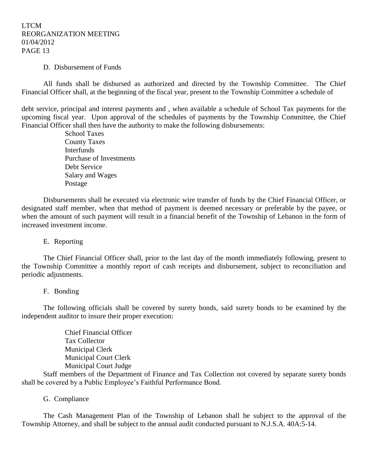#### D. Disbursement of Funds

All funds shall be disbursed as authorized and directed by the Township Committee. The Chief Financial Officer shall, at the beginning of the fiscal year, present to the Township Committee a schedule of

debt service, principal and interest payments and , when available a schedule of School Tax payments for the upcoming fiscal year. Upon approval of the schedules of payments by the Township Committee, the Chief Financial Officer shall then have the authority to make the following disbursements:

> School Taxes County Taxes **Interfunds** Purchase of Investments Debt Service Salary and Wages Postage

Disbursements shall be executed via electronic wire transfer of funds by the Chief Financial Officer, or designated staff member, when that method of payment is deemed necessary or preferable by the payee, or when the amount of such payment will result in a financial benefit of the Township of Lebanon in the form of increased investment income.

## E. Reporting

The Chief Financial Officer shall, prior to the last day of the month immediately following, present to the Township Committee a monthly report of cash receipts and disbursement, subject to reconciliation and periodic adjustments.

#### F. Bonding

The following officials shall be covered by surety bonds, said surety bonds to be examined by the independent auditor to insure their proper execution:

> Chief Financial Officer Tax Collector Municipal Clerk Municipal Court Clerk Municipal Court Judge

Staff members of the Department of Finance and Tax Collection not covered by separate surety bonds shall be covered by a Public Employee's Faithful Performance Bond.

#### G. Compliance

The Cash Management Plan of the Township of Lebanon shall be subject to the approval of the Township Attorney, and shall be subject to the annual audit conducted pursuant to N.J.S.A. 40A:5-14.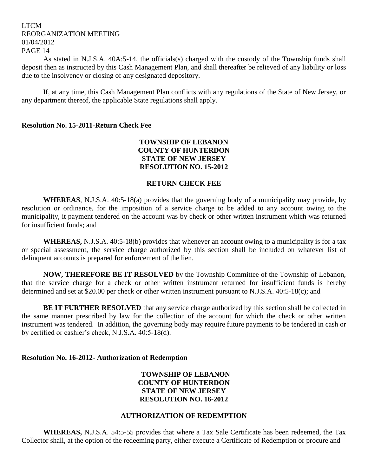As stated in N.J.S.A. 40A:5-14, the officials(s) charged with the custody of the Township funds shall deposit then as instructed by this Cash Management Plan, and shall thereafter be relieved of any liability or loss due to the insolvency or closing of any designated depository.

If, at any time, this Cash Management Plan conflicts with any regulations of the State of New Jersey, or any department thereof, the applicable State regulations shall apply.

#### **Resolution No. 15-2011-Return Check Fee**

## **TOWNSHIP OF LEBANON COUNTY OF HUNTERDON STATE OF NEW JERSEY RESOLUTION NO. 15-2012**

### **RETURN CHECK FEE**

**WHEREAS**, N.J.S.A. 40:5-18(a) provides that the governing body of a municipality may provide, by resolution or ordinance, for the imposition of a service charge to be added to any account owing to the municipality, it payment tendered on the account was by check or other written instrument which was returned for insufficient funds; and

**WHEREAS,** N.J.S.A. 40:5-18(b) provides that whenever an account owing to a municipality is for a tax or special assessment, the service charge authorized by this section shall be included on whatever list of delinquent accounts is prepared for enforcement of the lien.

**NOW, THEREFORE BE IT RESOLVED** by the Township Committee of the Township of Lebanon, that the service charge for a check or other written instrument returned for insufficient funds is hereby determined and set at \$20.00 per check or other written instrument pursuant to N.J.S.A. 40:5-18(c); and

**BE IT FURTHER RESOLVED** that any service charge authorized by this section shall be collected in the same manner prescribed by law for the collection of the account for which the check or other written instrument was tendered. In addition, the governing body may require future payments to be tendered in cash or by certified or cashier's check, N.J.S.A. 40:5-18(d).

#### **Resolution No. 16-2012- Authorization of Redemption**

## **TOWNSHIP OF LEBANON COUNTY OF HUNTERDON STATE OF NEW JERSEY RESOLUTION NO. 16-2012**

#### **AUTHORIZATION OF REDEMPTION**

**WHEREAS,** N.J.S.A. 54:5-55 provides that where a Tax Sale Certificate has been redeemed, the Tax Collector shall, at the option of the redeeming party, either execute a Certificate of Redemption or procure and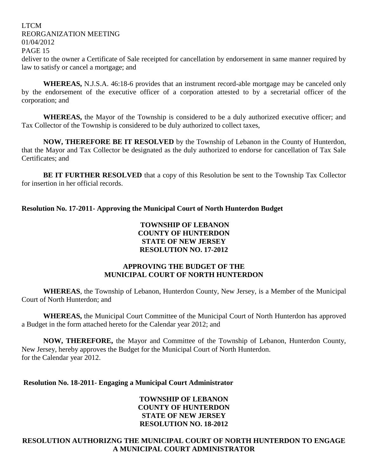LTCM REORGANIZATION MEETING 01/04/2012 PAGE 15 deliver to the owner a Certificate of Sale receipted for cancellation by endorsement in same manner required by law to satisfy or cancel a mortgage; and

**WHEREAS,** N.J.S.A. 46:18-6 provides that an instrument record-able mortgage may be canceled only by the endorsement of the executive officer of a corporation attested to by a secretarial officer of the corporation; and

**WHEREAS,** the Mayor of the Township is considered to be a duly authorized executive officer; and Tax Collector of the Township is considered to be duly authorized to collect taxes,

**NOW, THEREFORE BE IT RESOLVED** by the Township of Lebanon in the County of Hunterdon, that the Mayor and Tax Collector be designated as the duly authorized to endorse for cancellation of Tax Sale Certificates; and

**BE IT FURTHER RESOLVED** that a copy of this Resolution be sent to the Township Tax Collector for insertion in her official records.

**Resolution No. 17-2011- Approving the Municipal Court of North Hunterdon Budget**

## **TOWNSHIP OF LEBANON COUNTY OF HUNTERDON STATE OF NEW JERSEY RESOLUTION NO. 17-2012**

## **APPROVING THE BUDGET OF THE MUNICIPAL COURT OF NORTH HUNTERDON**

**WHEREAS**, the Township of Lebanon, Hunterdon County, New Jersey, is a Member of the Municipal Court of North Hunterdon; and

**WHEREAS,** the Municipal Court Committee of the Municipal Court of North Hunterdon has approved a Budget in the form attached hereto for the Calendar year 2012; and

**NOW, THEREFORE,** the Mayor and Committee of the Township of Lebanon, Hunterdon County, New Jersey, hereby approves the Budget for the Municipal Court of North Hunterdon. for the Calendar year 2012.

**Resolution No. 18-2011- Engaging a Municipal Court Administrator**

## **TOWNSHIP OF LEBANON COUNTY OF HUNTERDON STATE OF NEW JERSEY RESOLUTION NO. 18-2012**

## **RESOLUTION AUTHORIZNG THE MUNICIPAL COURT OF NORTH HUNTERDON TO ENGAGE A MUNICIPAL COURT ADMINISTRATOR**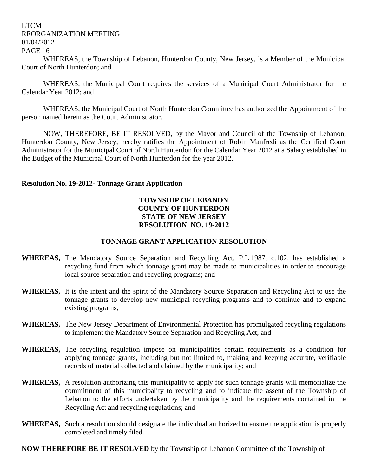WHEREAS, the Township of Lebanon, Hunterdon County, New Jersey, is a Member of the Municipal Court of North Hunterdon; and

WHEREAS, the Municipal Court requires the services of a Municipal Court Administrator for the Calendar Year 2012; and

WHEREAS, the Municipal Court of North Hunterdon Committee has authorized the Appointment of the person named herein as the Court Administrator.

NOW, THEREFORE, BE IT RESOLVED, by the Mayor and Council of the Township of Lebanon, Hunterdon County, New Jersey, hereby ratifies the Appointment of Robin Manfredi as the Certified Court Administrator for the Municipal Court of North Hunterdon for the Calendar Year 2012 at a Salary established in the Budget of the Municipal Court of North Hunterdon for the year 2012.

### **Resolution No. 19-2012- Tonnage Grant Application**

## **TOWNSHIP OF LEBANON COUNTY OF HUNTERDON STATE OF NEW JERSEY RESOLUTION NO. 19-2012**

## **TONNAGE GRANT APPLICATION RESOLUTION**

- **WHEREAS,** The Mandatory Source Separation and Recycling Act, P.L.1987, c.102, has established a recycling fund from which tonnage grant may be made to municipalities in order to encourage local source separation and recycling programs; and
- **WHEREAS,** It is the intent and the spirit of the Mandatory Source Separation and Recycling Act to use the tonnage grants to develop new municipal recycling programs and to continue and to expand existing programs;
- **WHEREAS,** The New Jersey Department of Environmental Protection has promulgated recycling regulations to implement the Mandatory Source Separation and Recycling Act; and
- **WHEREAS,** The recycling regulation impose on municipalities certain requirements as a condition for applying tonnage grants, including but not limited to, making and keeping accurate, verifiable records of material collected and claimed by the municipality; and
- **WHEREAS,** A resolution authorizing this municipality to apply for such tonnage grants will memorialize the commitment of this municipality to recycling and to indicate the assent of the Township of Lebanon to the efforts undertaken by the municipality and the requirements contained in the Recycling Act and recycling regulations; and
- **WHEREAS,** Such a resolution should designate the individual authorized to ensure the application is properly completed and timely filed.

**NOW THEREFORE BE IT RESOLVED** by the Township of Lebanon Committee of the Township of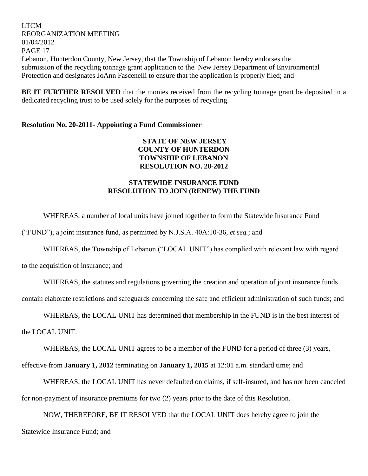LTCM REORGANIZATION MEETING 01/04/2012 PAGE 17 Lebanon, Hunterdon County, New Jersey, that the Township of Lebanon hereby endorses the submission of the recycling tonnage grant application to the New Jersey Department of Environmental Protection and designates JoAnn Fascenelli to ensure that the application is properly filed; and

**BE IT FURTHER RESOLVED** that the monies received from the recycling tonnage grant be deposited in a dedicated recycling trust to be used solely for the purposes of recycling.

## **Resolution No. 20-2011- Appointing a Fund Commissioner**

**STATE OF NEW JERSEY COUNTY OF HUNTERDON TOWNSHIP OF LEBANON RESOLUTION NO. 20-2012**

## **STATEWIDE INSURANCE FUND RESOLUTION TO JOIN (RENEW) THE FUND**

WHEREAS, a number of local units have joined together to form the Statewide Insurance Fund

("FUND"), a joint insurance fund, as permitted by N.J.S.A. 40A:10-36, *et seq.*; and

WHEREAS, the Township of Lebanon ("LOCAL UNIT") has complied with relevant law with regard

to the acquisition of insurance; and

WHEREAS, the statutes and regulations governing the creation and operation of joint insurance funds

contain elaborate restrictions and safeguards concerning the safe and efficient administration of such funds; and

WHEREAS, the LOCAL UNIT has determined that membership in the FUND is in the best interest of

the LOCAL UNIT.

WHEREAS, the LOCAL UNIT agrees to be a member of the FUND for a period of three (3) years,

effective from **January 1, 2012** terminating on **January 1, 2015** at 12:01 a.m. standard time; and

WHEREAS, the LOCAL UNIT has never defaulted on claims, if self-insured, and has not been canceled for non-payment of insurance premiums for two (2) years prior to the date of this Resolution.

NOW, THEREFORE, BE IT RESOLVED that the LOCAL UNIT does hereby agree to join the Statewide Insurance Fund; and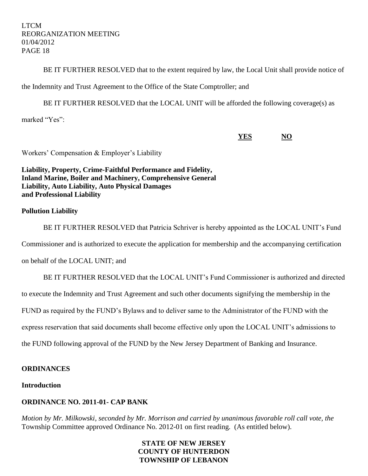BE IT FURTHER RESOLVED that to the extent required by law, the Local Unit shall provide notice of

the Indemnity and Trust Agreement to the Office of the State Comptroller; and

BE IT FURTHER RESOLVED that the LOCAL UNIT will be afforded the following coverage(s) as

marked "Yes":

**YES NO**

Workers' Compensation & Employer's Liability

**Liability, Property, Crime-Faithful Performance and Fidelity, Inland Marine, Boiler and Machinery, Comprehensive General Liability, Auto Liability, Auto Physical Damages and Professional Liability**

## **Pollution Liability**

BE IT FURTHER RESOLVED that Patricia Schriver is hereby appointed as the LOCAL UNIT's Fund Commissioner and is authorized to execute the application for membership and the accompanying certification

on behalf of the LOCAL UNIT; and

BE IT FURTHER RESOLVED that the LOCAL UNIT's Fund Commissioner is authorized and directed to execute the Indemnity and Trust Agreement and such other documents signifying the membership in the FUND as required by the FUND's Bylaws and to deliver same to the Administrator of the FUND with the express reservation that said documents shall become effective only upon the LOCAL UNIT's admissions to the FUND following approval of the FUND by the New Jersey Department of Banking and Insurance.

## **ORDINANCES**

## **Introduction**

## **ORDINANCE NO. 2011-01- CAP BANK**

*Motion by Mr. Milkowski, seconded by Mr. Morrison and carried by unanimous favorable roll call vote, the* Township Committee approved Ordinance No. 2012-01 on first reading. (As entitled below).

## **STATE OF NEW JERSEY COUNTY OF HUNTERDON TOWNSHIP OF LEBANON**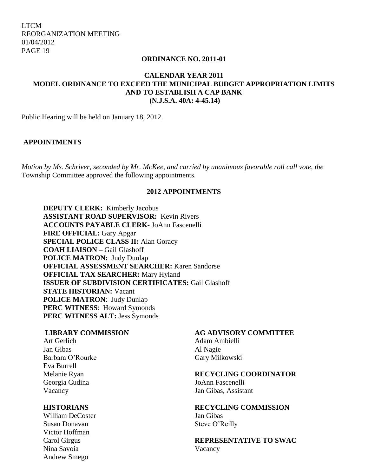#### **ORDINANCE NO. 2011-01**

## **CALENDAR YEAR 2011 MODEL ORDINANCE TO EXCEED THE MUNICIPAL BUDGET APPROPRIATION LIMITS AND TO ESTABLISH A CAP BANK (N.J.S.A. 40A: 4-45.14)**

Public Hearing will be held on January 18, 2012.

#### **APPOINTMENTS**

*Motion by Ms. Schriver, seconded by Mr. McKee, and carried by unanimous favorable roll call vote, the*  Township Committee approved the following appointments.

## **2012 APPOINTMENTS**

**DEPUTY CLERK:** Kimberly Jacobus **ASSISTANT ROAD SUPERVISOR:** Kevin Rivers **ACCOUNTS PAYABLE CLERK**- JoAnn Fascenelli **FIRE OFFICIAL:** Gary Apgar **SPECIAL POLICE CLASS II:** Alan Goracy **COAH LIAISON –** Gail Glashoff **POLICE MATRON:** Judy Dunlap **OFFICIAL ASSESSMENT SEARCHER:** Karen Sandorse **OFFICIAL TAX SEARCHER: Mary Hyland ISSUER OF SUBDIVISION CERTIFICATES:** Gail Glashoff **STATE HISTORIAN:** Vacant **POLICE MATRON**: Judy Dunlap **PERC WITNESS**: Howard Symonds **PERC WITNESS ALT:** Jess Symonds

Jan Gibas Al Nagie Barbara O'Rourke Gary Milkowski Eva Burrell Georgia Cudina JoAnn Fascenelli

William DeCoster Jan Gibas Susan Donavan Susan Steve O'Reilly Victor Hoffman Nina Savoia Vacancy Andrew Smego

#### **LIBRARY COMMISSION AG ADVISORY COMMITTEE**

Art Gerlich Adam Ambielli

#### Melanie Ryan **RECYCLING COORDINATOR**

Vacancy Jan Gibas, Assistant

# **HISTORIANS RECYCLING COMMISSION**

Carol Girgus **REPRESENTATIVE TO SWAC**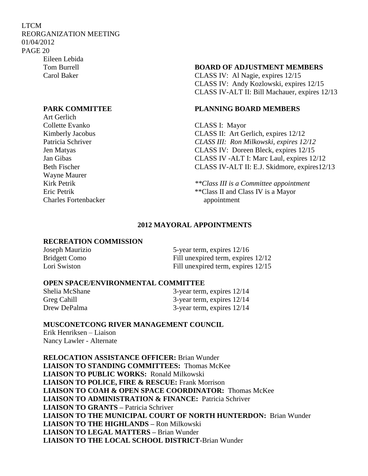LTCM REORGANIZATION MEETING 01/04/2012 PAGE 20 Eileen Lebida

Art Gerlich Collette Evanko CLASS I: Mayor Wayne Maurer Charles Fortenbacker appointment

#### Tom Burrell **BOARD OF ADJUSTMENT MEMBERS**

Carol Baker CLASS IV: Al Nagie, expires 12/15 CLASS IV: Andy Kozlowski, expires 12/15 CLASS IV-ALT II: Bill Machauer, expires 12/13

### **PARK COMMITTEE PLANNING BOARD MEMBERS**

Kimberly Jacobus CLASS II: Art Gerlich, expires 12/12 Patricia Schriver *CLASS III: Ron Milkowski, expires 12/12* Jen Matyas CLASS IV: Doreen Bleck, expires 12/15 Jan Gibas CLASS IV -ALT I: Marc Laul, expires 12/12 Beth Fischer CLASS IV-ALT II: E.J. Skidmore, expires12/13

Kirk Petrik*\*\*Class III is a Committee appointment* Eric Petrik \*\*Class II and Class IV is a Mayor

## **2012 MAYORAL APPOINTMENTS**

#### **RECREATION COMMISSION**

| Joseph Maurizio      | 5-year term, expires $12/16$       |
|----------------------|------------------------------------|
| <b>Bridgett Como</b> | Fill unexpired term, expires 12/12 |
| Lori Swiston         | Fill unexpired term, expires 12/15 |

#### **OPEN SPACE/ENVIRONMENTAL COMMITTEE**

| Shelia McShane | 3-year term, expires $12/14$ |
|----------------|------------------------------|
| Greg Cahill    | 3-year term, expires $12/14$ |
| Drew DePalma   | 3-year term, expires $12/14$ |

#### **MUSCONETCONG RIVER MANAGEMENT COUNCIL**

Erik Henriksen – Liaison Nancy Lawler - Alternate

**RELOCATION ASSISTANCE OFFICER:** Brian Wunder **LIAISON TO STANDING COMMITTEES:** Thomas McKee **LIAISON TO PUBLIC WORKS:** Ronald Milkowski **LIAISON TO POLICE, FIRE & RESCUE:** Frank Morrison  **LIAISON TO COAH & OPEN SPACE COORDINATOR:** Thomas McKee **LIAISON TO ADMINISTRATION & FINANCE:** Patricia Schriver **LIAISON TO GRANTS –** Patricia Schriver **LIAISON TO THE MUNICIPAL COURT OF NORTH HUNTERDON:** Brian Wunder **LIAISON TO THE HIGHLANDS –** Ron Milkowski **LIAISON TO LEGAL MATTERS –** Brian Wunder **LIAISON TO THE LOCAL SCHOOL DISTRICT-**Brian Wunder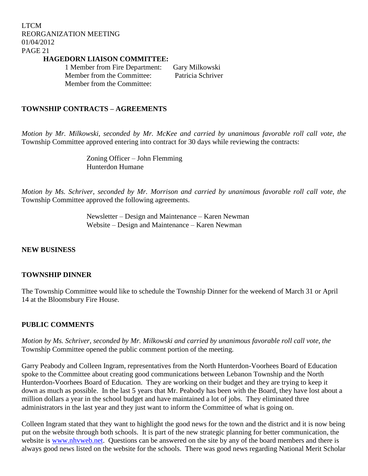**HAGEDORN LIAISON COMMITTEE:**

1 Member from Fire Department: Gary Milkowski Member from the Committee: Patricia Schriver Member from the Committee:

## **TOWNSHIP CONTRACTS – AGREEMENTS**

*Motion by Mr. Milkowski, seconded by Mr. McKee and carried by unanimous favorable roll call vote, the* Township Committee approved entering into contract for 30 days while reviewing the contracts:

> Zoning Officer – John Flemming Hunterdon Humane

*Motion by Ms. Schriver, seconded by Mr. Morrison and carried by unanimous favorable roll call vote, the* Township Committee approved the following agreements.

> Newsletter – Design and Maintenance – Karen Newman Website – Design and Maintenance – Karen Newman

#### **NEW BUSINESS**

#### **TOWNSHIP DINNER**

The Township Committee would like to schedule the Township Dinner for the weekend of March 31 or April 14 at the Bloomsbury Fire House.

## **PUBLIC COMMENTS**

*Motion by Ms. Schriver, seconded by Mr. Milkowski and carried by unanimous favorable roll call vote, the* Township Committee opened the public comment portion of the meeting.

Garry Peabody and Colleen Ingram, representatives from the North Hunterdon-Voorhees Board of Education spoke to the Committee about creating good communications between Lebanon Township and the North Hunterdon-Voorhees Board of Education. They are working on their budget and they are trying to keep it down as much as possible. In the last 5 years that Mr. Peabody has been with the Board, they have lost about a million dollars a year in the school budget and have maintained a lot of jobs. They eliminated three administrators in the last year and they just want to inform the Committee of what is going on.

Colleen Ingram stated that they want to highlight the good news for the town and the district and it is now being put on the website through both schools. It is part of the new strategic planning for better communication, the website is [www.nhvweb.net.](http://www.nhvweb.net/) Questions can be answered on the site by any of the board members and there is always good news listed on the website for the schools. There was good news regarding National Merit Scholar